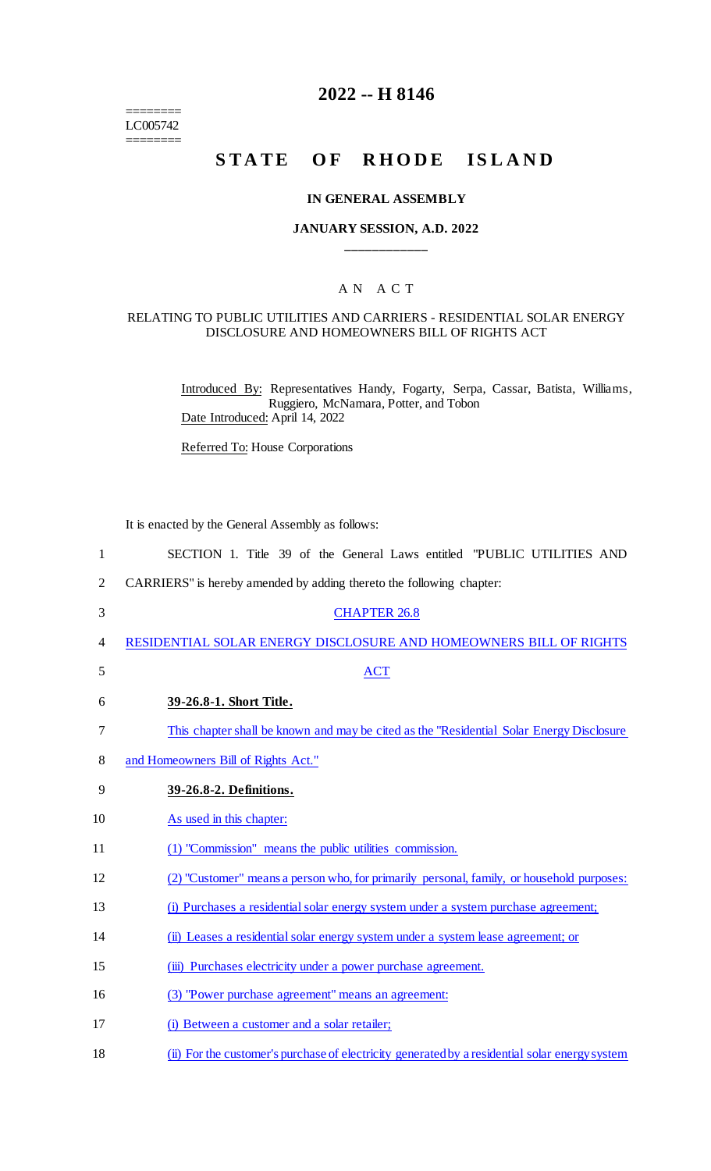======== LC005742 ========

### **2022 -- H 8146**

## **STATE OF RHODE ISLAND**

### **IN GENERAL ASSEMBLY**

### **JANUARY SESSION, A.D. 2022 \_\_\_\_\_\_\_\_\_\_\_\_**

### A N A C T

#### RELATING TO PUBLIC UTILITIES AND CARRIERS - RESIDENTIAL SOLAR ENERGY DISCLOSURE AND HOMEOWNERS BILL OF RIGHTS ACT

Introduced By: Representatives Handy, Fogarty, Serpa, Cassar, Batista, Williams, Ruggiero, McNamara, Potter, and Tobon Date Introduced: April 14, 2022

Referred To: House Corporations

It is enacted by the General Assembly as follows:

| $\mathbf{1}$   | SECTION 1. Title 39 of the General Laws entitled "PUBLIC UTILITIES AND                         |
|----------------|------------------------------------------------------------------------------------------------|
| $\overline{2}$ | CARRIERS" is hereby amended by adding thereto the following chapter:                           |
| 3              | <b>CHAPTER 26.8</b>                                                                            |
| 4              | RESIDENTIAL SOLAR ENERGY DISCLOSURE AND HOMEOWNERS BILL OF RIGHTS                              |
| 5              | <b>ACT</b>                                                                                     |
| 6              | 39-26.8-1. Short Title.                                                                        |
| 7              | This chapter shall be known and may be cited as the "Residential Solar Energy Disclosure"      |
| 8              | and Homeowners Bill of Rights Act."                                                            |
| 9              | 39-26.8-2. Definitions.                                                                        |
| 10             | As used in this chapter:                                                                       |
| 11             | (1) "Commission" means the public utilities commission.                                        |
| 12             | (2) "Customer" means a person who, for primarily personal, family, or household purposes:      |
| 13             | (i) Purchases a residential solar energy system under a system purchase agreement;             |
| 14             | (ii) Leases a residential solar energy system under a system lease agreement; or               |
| 15             | (iii) Purchases electricity under a power purchase agreement.                                  |
| 16             | (3) "Power purchase agreement" means an agreement:                                             |
| 17             | (i) Between a customer and a solar retailer;                                                   |
| 18             | (ii) For the customer's purchase of electricity generated by a residential solar energy system |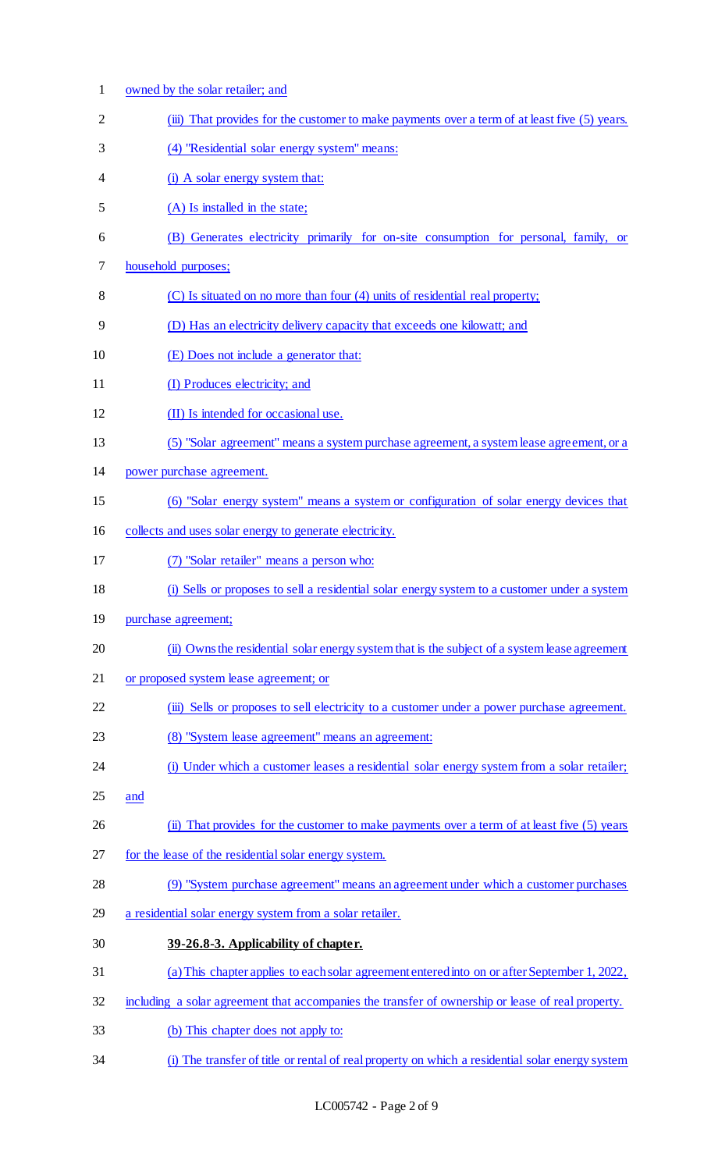| $\mathbf{1}$   | owned by the solar retailer; and                                                                  |
|----------------|---------------------------------------------------------------------------------------------------|
| $\overline{2}$ | (iii) That provides for the customer to make payments over a term of at least five (5) years.     |
| 3              | (4) "Residential solar energy system" means:                                                      |
| 4              | (i) A solar energy system that:                                                                   |
| 5              | (A) Is installed in the state;                                                                    |
| 6              | (B) Generates electricity primarily for on-site consumption for personal, family, or              |
| 7              | household purposes;                                                                               |
| 8              | (C) Is situated on no more than four (4) units of residential real property;                      |
| 9              | (D) Has an electricity delivery capacity that exceeds one kilowatt; and                           |
| 10             | (E) Does not include a generator that:                                                            |
| 11             | (I) Produces electricity; and                                                                     |
| 12             | (II) Is intended for occasional use.                                                              |
| 13             | (5) "Solar agreement" means a system purchase agreement, a system lease agreement, or a           |
| 14             | power purchase agreement.                                                                         |
| 15             | (6) "Solar energy system" means a system or configuration of solar energy devices that            |
| 16             | collects and uses solar energy to generate electricity.                                           |
| 17             | (7) "Solar retailer" means a person who:                                                          |
| 18             | (i) Sells or proposes to sell a residential solar energy system to a customer under a system      |
| 19             | purchase agreement;                                                                               |
| 20             | (ii) Owns the residential solar energy system that is the subject of a system lease agreement     |
| 21             | or proposed system lease agreement; or                                                            |
| 22             | (iii) Sells or proposes to sell electricity to a customer under a power purchase agreement.       |
| 23             | (8) "System lease agreement" means an agreement:                                                  |
| 24             | (i) Under which a customer leases a residential solar energy system from a solar retailer;        |
| 25             | and                                                                                               |
| 26             | (ii) That provides for the customer to make payments over a term of at least five (5) years       |
| 27             | for the lease of the residential solar energy system.                                             |
| 28             | (9) "System purchase agreement" means an agreement under which a customer purchases               |
| 29             | a residential solar energy system from a solar retailer.                                          |
| 30             | 39-26.8-3. Applicability of chapter.                                                              |
| 31             | (a) This chapter applies to each solar agreement entered into on or after September 1, 2022,      |
| 32             | including a solar agreement that accompanies the transfer of ownership or lease of real property. |
| 33             | (b) This chapter does not apply to:                                                               |
| 34             | (i) The transfer of title or rental of real property on which a residential solar energy system   |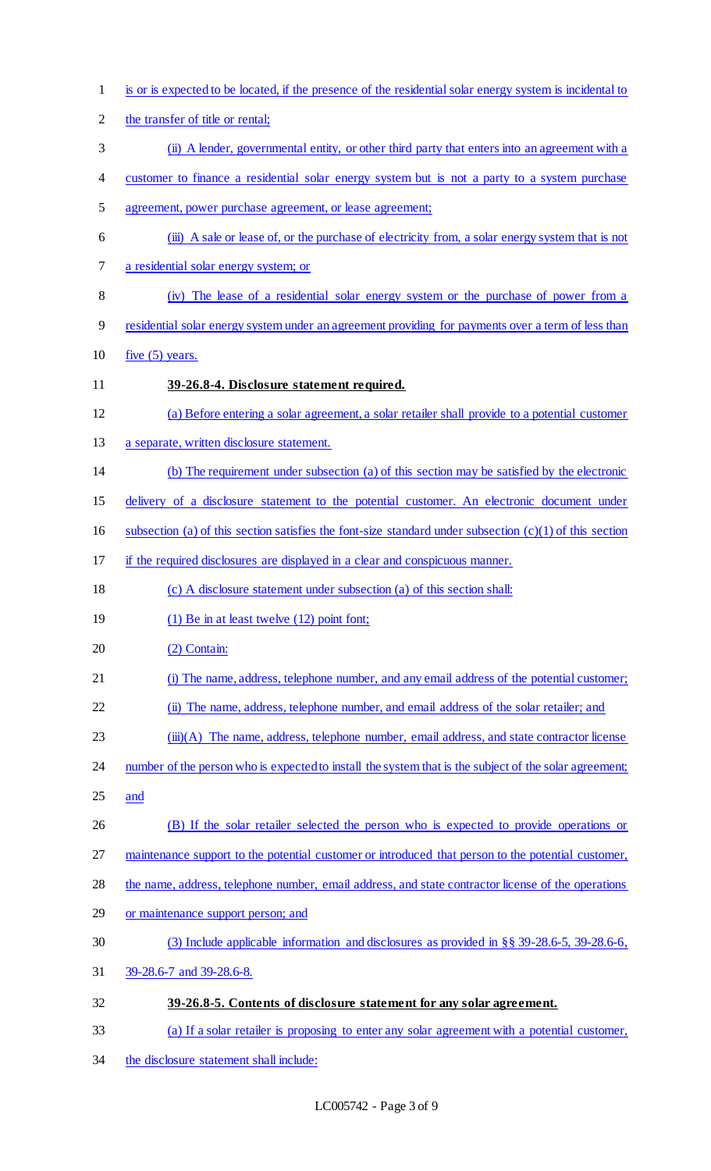| $\mathbf{1}$   | is or is expected to be located, if the presence of the residential solar energy system is incidental to  |
|----------------|-----------------------------------------------------------------------------------------------------------|
| $\overline{2}$ | the transfer of title or rental;                                                                          |
| 3              | (ii) A lender, governmental entity, or other third party that enters into an agreement with a             |
| 4              | customer to finance a residential solar energy system but is not a party to a system purchase             |
| 5              | agreement, power purchase agreement, or lease agreement;                                                  |
| 6              | (iii) A sale or lease of, or the purchase of electricity from, a solar energy system that is not          |
| 7              | a residential solar energy system; or                                                                     |
| 8              | (iv) The lease of a residential solar energy system or the purchase of power from a                       |
| 9              | residential solar energy system under an agreement providing for payments over a term of less than        |
| 10             | five $(5)$ years.                                                                                         |
| 11             | 39-26.8-4. Disclosure statement required.                                                                 |
| 12             | (a) Before entering a solar agreement, a solar retailer shall provide to a potential customer             |
| 13             | a separate, written disclosure statement.                                                                 |
| 14             | (b) The requirement under subsection (a) of this section may be satisfied by the electronic               |
| 15             | delivery of a disclosure statement to the potential customer. An electronic document under                |
| 16             | subsection (a) of this section satisfies the font-size standard under subsection $(c)(1)$ of this section |
| 17             | if the required disclosures are displayed in a clear and conspicuous manner.                              |
| 18             | (c) A disclosure statement under subsection (a) of this section shall:                                    |
| 19             | $(1)$ Be in at least twelve $(12)$ point font;                                                            |
| 20             | (2) Contain:                                                                                              |
| 21             | (i) The name, address, telephone number, and any email address of the potential customer;                 |
| 22             | (ii) The name, address, telephone number, and email address of the solar retailer; and                    |
| 23             | (iii)(A) The name, address, telephone number, email address, and state contractor license                 |
| 24             | number of the person who is expected to install the system that is the subject of the solar agreement;    |
| 25             | and                                                                                                       |
| 26             | (B) If the solar retailer selected the person who is expected to provide operations or                    |
| 27             | maintenance support to the potential customer or introduced that person to the potential customer,        |
| 28             | the name, address, telephone number, email address, and state contractor license of the operations        |
| 29             | or maintenance support person; and                                                                        |
| 30             | (3) Include applicable information and disclosures as provided in $\S$ § 39-28.6-5, 39-28.6-6,            |
| 31             | 39-28.6-7 and 39-28.6-8.                                                                                  |
| 32             | 39-26.8-5. Contents of disclosure statement for any solar agreement.                                      |
| 33             | (a) If a solar retailer is proposing to enter any solar agreement with a potential customer,              |
|                |                                                                                                           |

34 the disclosure statement shall include: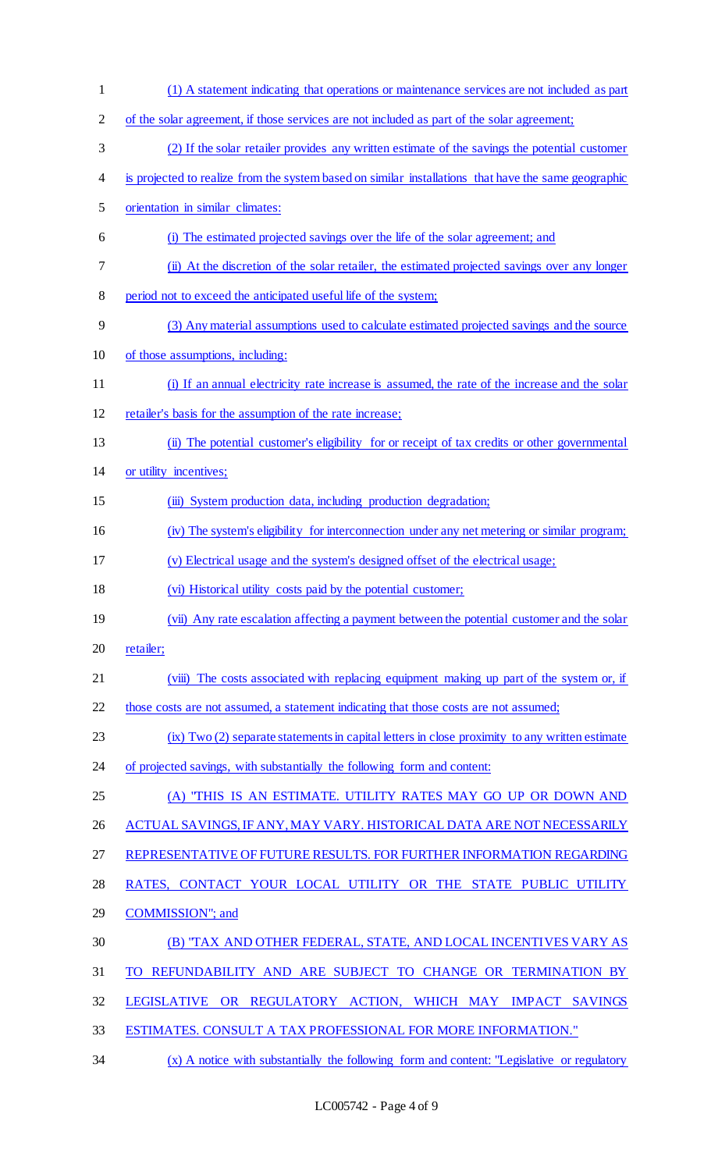(1) A statement indicating that operations or maintenance services are not included as part 2 of the solar agreement, if those services are not included as part of the solar agreement; (2) If the solar retailer provides any written estimate of the savings the potential customer is projected to realize from the system based on similar installations that have the same geographic orientation in similar climates: (i) The estimated projected savings over the life of the solar agreement; and (ii) At the discretion of the solar retailer, the estimated projected savings over any longer period not to exceed the anticipated useful life of the system; (3) Any material assumptions used to calculate estimated projected savings and the source of those assumptions, including: (i) If an annual electricity rate increase is assumed, the rate of the increase and the solar retailer's basis for the assumption of the rate increase; (ii) The potential customer's eligibility for or receipt of tax credits or other governmental or utility incentives; 15 (iii) System production data, including production degradation; 16 (iv) The system's eligibility for interconnection under any net metering or similar program; (v) Electrical usage and the system's designed offset of the electrical usage; (vi) Historical utility costs paid by the potential customer; (vii) Any rate escalation affecting a payment between the potential customer and the solar 20 retailer; 21 (viii) The costs associated with replacing equipment making up part of the system or, if 22 those costs are not assumed, a statement indicating that those costs are not assumed; (ix) Two (2) separate statements in capital letters in close proximity to any written estimate 24 of projected savings, with substantially the following form and content: (A) "THIS IS AN ESTIMATE. UTILITY RATES MAY GO UP OR DOWN AND 26 ACTUAL SAVINGS, IF ANY, MAY VARY. HISTORICAL DATA ARE NOT NECESSARILY REPRESENTATIVE OF FUTURE RESULTS. FOR FURTHER INFORMATION REGARDING RATES, CONTACT YOUR LOCAL UTILITY OR THE STATE PUBLIC UTILITY COMMISSION"; and (B) "TAX AND OTHER FEDERAL, STATE, AND LOCAL INCENTIVES VARY AS TO REFUNDABILITY AND ARE SUBJECT TO CHANGE OR TERMINATION BY LEGISLATIVE OR REGULATORY ACTION, WHICH MAY IMPACT SAVINGS ESTIMATES. CONSULT A TAX PROFESSIONAL FOR MORE INFORMATION." (x) A notice with substantially the following form and content: "Legislative or regulatory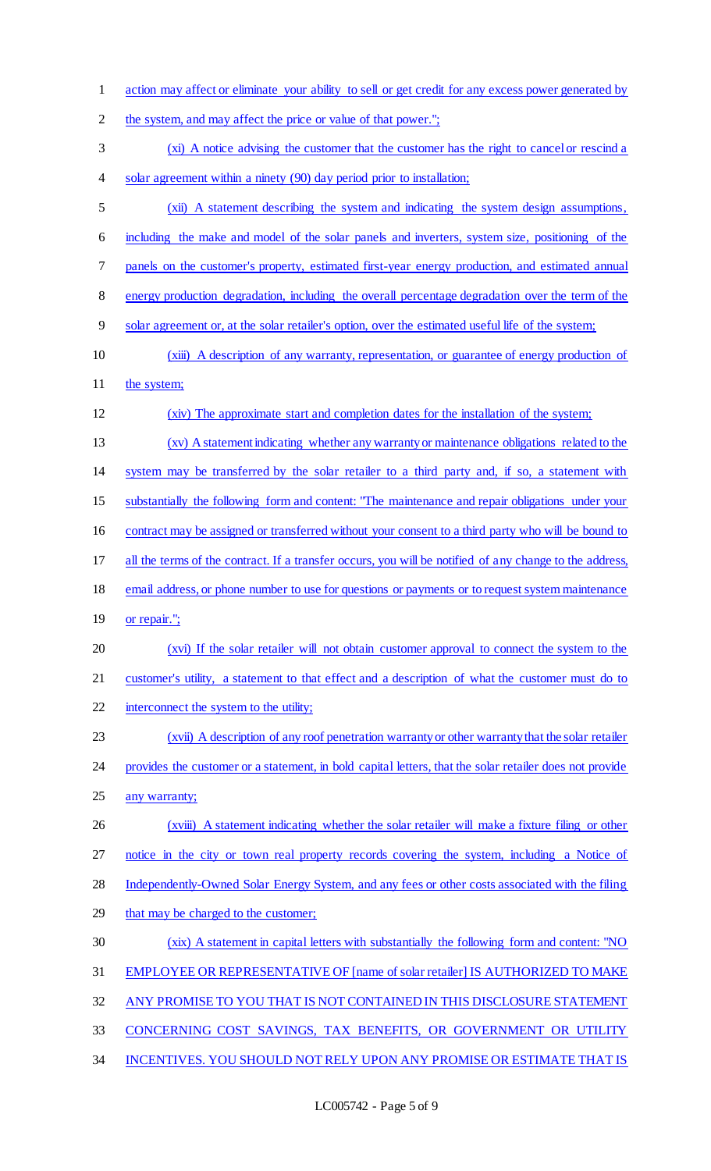action may affect or eliminate your ability to sell or get credit for any excess power generated by 2 the system, and may affect the price or value of that power."; (xi) A notice advising the customer that the customer has the right to cancel or rescind a 4 solar agreement within a ninety (90) day period prior to installation; (xii) A statement describing the system and indicating the system design assumptions, including the make and model of the solar panels and inverters, system size, positioning of the panels on the customer's property, estimated first-year energy production, and estimated annual energy production degradation, including the overall percentage degradation over the term of the solar agreement or, at the solar retailer's option, over the estimated useful life of the system; (xiii) A description of any warranty, representation, or guarantee of energy production of 11 the system; (xiv) The approximate start and completion dates for the installation of the system; (xv) A statement indicating whether any warranty or maintenance obligations related to the system may be transferred by the solar retailer to a third party and, if so, a statement with substantially the following form and content: "The maintenance and repair obligations under your contract may be assigned or transferred without your consent to a third party who will be bound to all the terms of the contract. If a transfer occurs, you will be notified of any change to the address, 18 email address, or phone number to use for questions or payments or to request system maintenance 19 <u>or repair."</u>; (xvi) If the solar retailer will not obtain customer approval to connect the system to the customer's utility, a statement to that effect and a description of what the customer must do to 22 interconnect the system to the utility; (xvii) A description of any roof penetration warranty or other warranty that the solar retailer provides the customer or a statement, in bold capital letters, that the solar retailer does not provide 25 any warranty; 26 (xviii) A statement indicating whether the solar retailer will make a fixture filing or other notice in the city or town real property records covering the system, including a Notice of Independently-Owned Solar Energy System, and any fees or other costs associated with the filing 29 that may be charged to the customer; (xix) A statement in capital letters with substantially the following form and content: "NO EMPLOYEE OR REPRESENTATIVE OF [name of solar retailer] IS AUTHORIZED TO MAKE ANY PROMISE TO YOU THAT IS NOT CONTAINED IN THIS DISCLOSURE STATEMENT CONCERNING COST SAVINGS, TAX BENEFITS, OR GOVERNMENT OR UTILITY INCENTIVES. YOU SHOULD NOT RELY UPON ANY PROMISE OR ESTIMATE THAT IS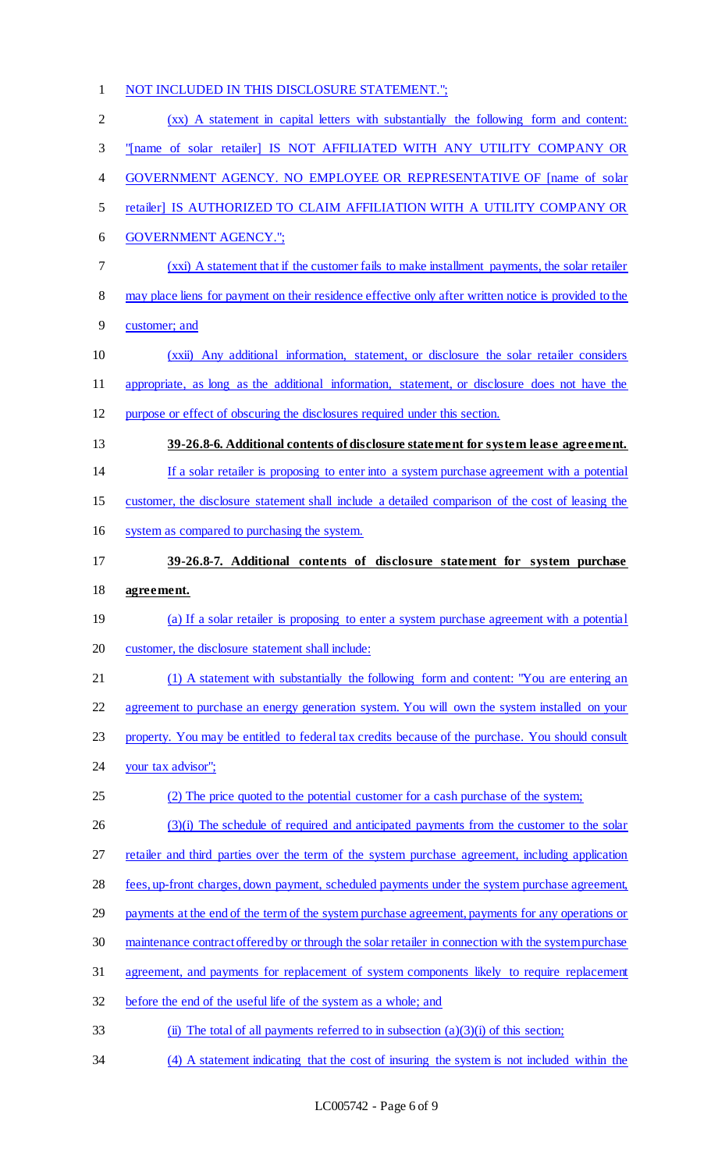# NOT INCLUDED IN THIS DISCLOSURE STATEMENT."; (xx) A statement in capital letters with substantially the following form and content: "[name of solar retailer] IS NOT AFFILIATED WITH ANY UTILITY COMPANY OR GOVERNMENT AGENCY. NO EMPLOYEE OR REPRESENTATIVE OF [name of solar retailer] IS AUTHORIZED TO CLAIM AFFILIATION WITH A UTILITY COMPANY OR GOVERNMENT AGENCY."; (xxi) A statement that if the customer fails to make installment payments, the solar retailer 8 may place liens for payment on their residence effective only after written notice is provided to the customer; and (xxii) Any additional information, statement, or disclosure the solar retailer considers appropriate, as long as the additional information, statement, or disclosure does not have the purpose or effect of obscuring the disclosures required under this section. **39-26.8-6. Additional contents of disclosure statement for system lease agreement.** If a solar retailer is proposing to enter into a system purchase agreement with a potential customer, the disclosure statement shall include a detailed comparison of the cost of leasing the system as compared to purchasing the system. **39-26.8-7. Additional contents of disclosure statement for system purchase agreement.** 19 (a) If a solar retailer is proposing to enter a system purchase agreement with a potential customer, the disclosure statement shall include: (1) A statement with substantially the following form and content: "You are entering an agreement to purchase an energy generation system. You will own the system installed on your property. You may be entitled to federal tax credits because of the purchase. You should consult your tax advisor"; (2) The price quoted to the potential customer for a cash purchase of the system; 26 (3)(i) The schedule of required and anticipated payments from the customer to the solar 27 retailer and third parties over the term of the system purchase agreement, including application fees, up-front charges, down payment, scheduled payments under the system purchase agreement, 29 payments at the end of the term of the system purchase agreement, payments for any operations or maintenance contract offered by or through the solar retailer in connection with the system purchase agreement, and payments for replacement of system components likely to require replacement before the end of the useful life of the system as a whole; and 33 (ii) The total of all payments referred to in subsection  $(a)(3)(i)$  of this section;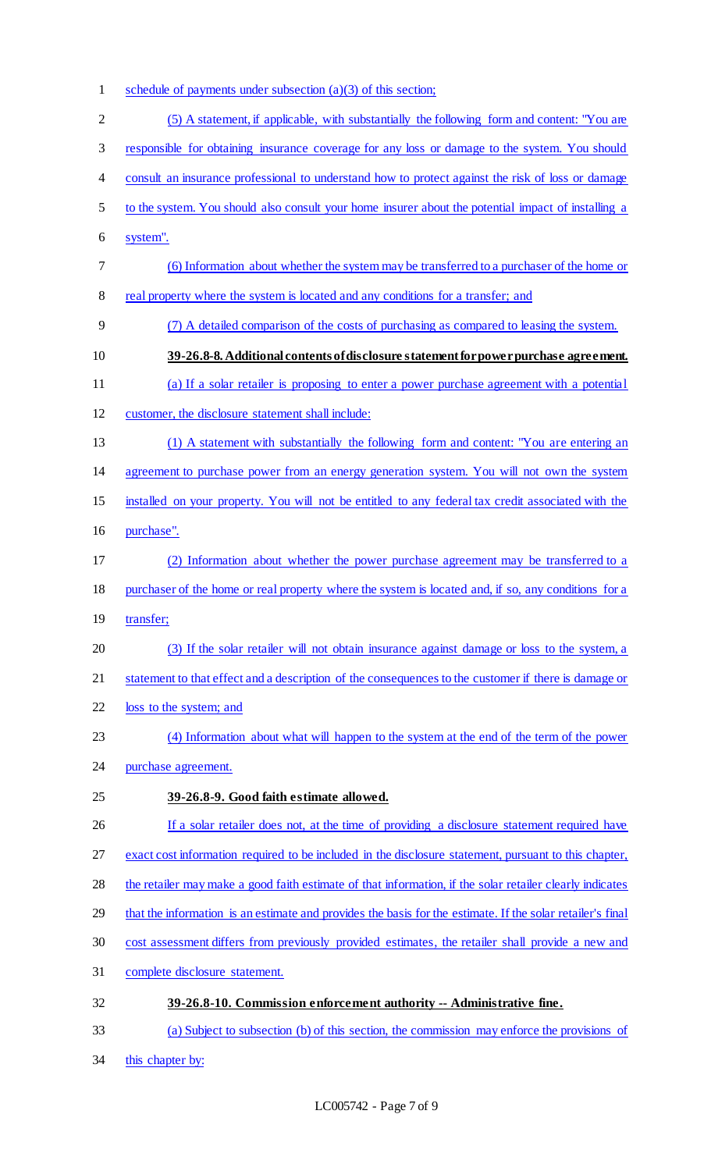- 1 schedule of payments under subsection (a)(3) of this section;
- (5) A statement, if applicable, with substantially the following form and content: "You are responsible for obtaining insurance coverage for any loss or damage to the system. You should consult an insurance professional to understand how to protect against the risk of loss or damage to the system. You should also consult your home insurer about the potential impact of installing a system". (6) Information about whether the system may be transferred to a purchaser of the home or real property where the system is located and any conditions for a transfer; and (7) A detailed comparison of the costs of purchasing as compared to leasing the system. **39-26.8-8. Additional contents of disclosure statement for power purchase agreement.**  (a) If a solar retailer is proposing to enter a power purchase agreement with a potential customer, the disclosure statement shall include: (1) A statement with substantially the following form and content: "You are entering an agreement to purchase power from an energy generation system. You will not own the system installed on your property. You will not be entitled to any federal tax credit associated with the purchase". (2) Information about whether the power purchase agreement may be transferred to a purchaser of the home or real property where the system is located and, if so, any conditions for a transfer; (3) If the solar retailer will not obtain insurance against damage or loss to the system, a statement to that effect and a description of the consequences to the customer if there is damage or loss to the system; and (4) Information about what will happen to the system at the end of the term of the power purchase agreement. **39-26.8-9. Good faith estimate allowed.**  26 If a solar retailer does not, at the time of providing a disclosure statement required have exact cost information required to be included in the disclosure statement, pursuant to this chapter, the retailer may make a good faith estimate of that information, if the solar retailer clearly indicates that the information is an estimate and provides the basis for the estimate. If the solar retailer's final cost assessment differs from previously provided estimates, the retailer shall provide a new and complete disclosure statement. **39-26.8-10. Commission enforcement authority -- Administrative fine.** (a) Subject to subsection (b) of this section, the commission may enforce the provisions of
- this chapter by: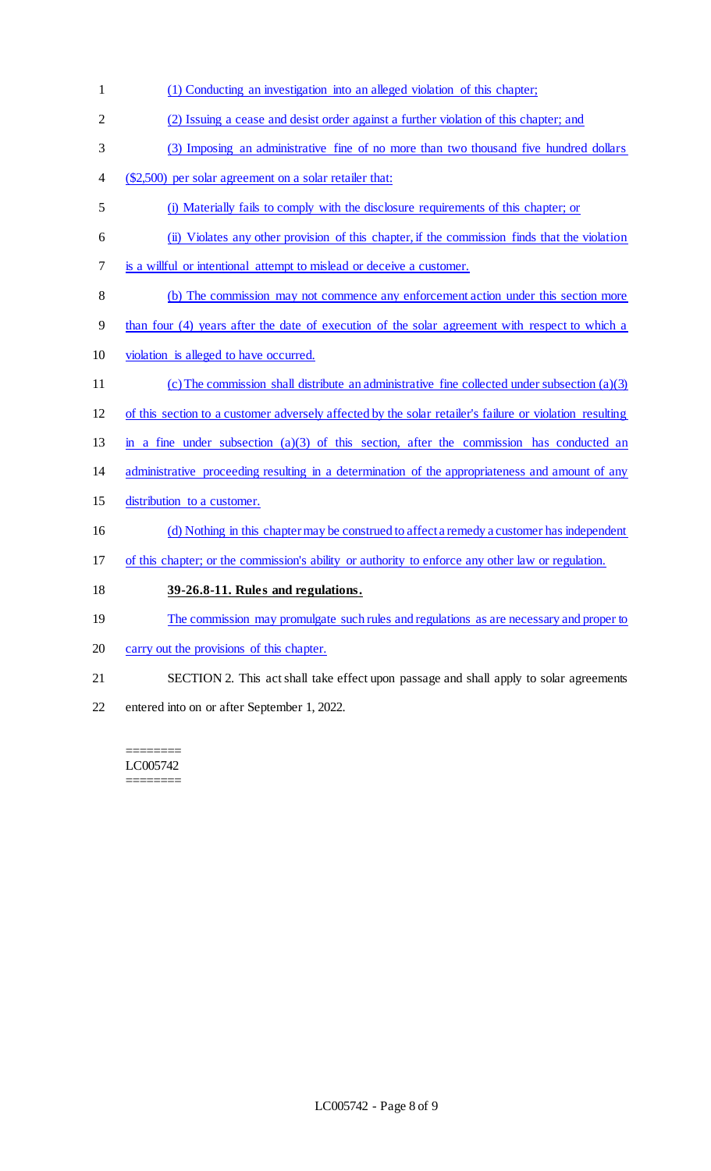- (1) Conducting an investigation into an alleged violation of this chapter; (2) Issuing a cease and desist order against a further violation of this chapter; and (3) Imposing an administrative fine of no more than two thousand five hundred dollars (\$2,500) per solar agreement on a solar retailer that: (i) Materially fails to comply with the disclosure requirements of this chapter; or (ii) Violates any other provision of this chapter, if the commission finds that the violation is a willful or intentional attempt to mislead or deceive a customer. (b) The commission may not commence any enforcement action under this section more than four (4) years after the date of execution of the solar agreement with respect to which a violation is alleged to have occurred. (c) The commission shall distribute an administrative fine collected under subsection (a)(3) of this section to a customer adversely affected by the solar retailer's failure or violation resulting in a fine under subsection (a)(3) of this section, after the commission has conducted an administrative proceeding resulting in a determination of the appropriateness and amount of any distribution to a customer. (d) Nothing in this chapter may be construed to affect a remedy a customer has independent of this chapter; or the commission's ability or authority to enforce any other law or regulation. **39-26.8-11. Rules and regulations.** 19 The commission may promulgate such rules and regulations as are necessary and proper to carry out the provisions of this chapter.
- SECTION 2. This act shall take effect upon passage and shall apply to solar agreements
- entered into on or after September 1, 2022.

======== LC005742 ========